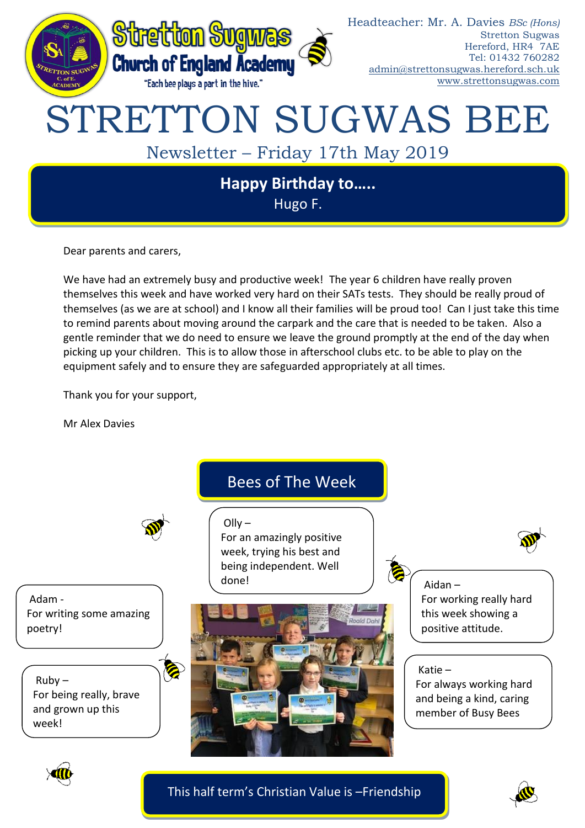

Hugo F.

Dear parents and carers,

We have had an extremely busy and productive week! The year 6 children have really proven themselves this week and have worked very hard on their SATs tests. They should be really proud of themselves (as we are at school) and I know all their families will be proud too! Can I just take this time to remind parents about moving around the carpark and the care that is needed to be taken. Also a gentle reminder that we do need to ensure we leave the ground promptly at the end of the day when picking up your children. This is to allow those in afterschool clubs etc. to be able to play on the equipment safely and to ensure they are safeguarded appropriately at all times.

Thank you for your support,

Mr Alex Davies



This half term's Christian Value is –Friendship